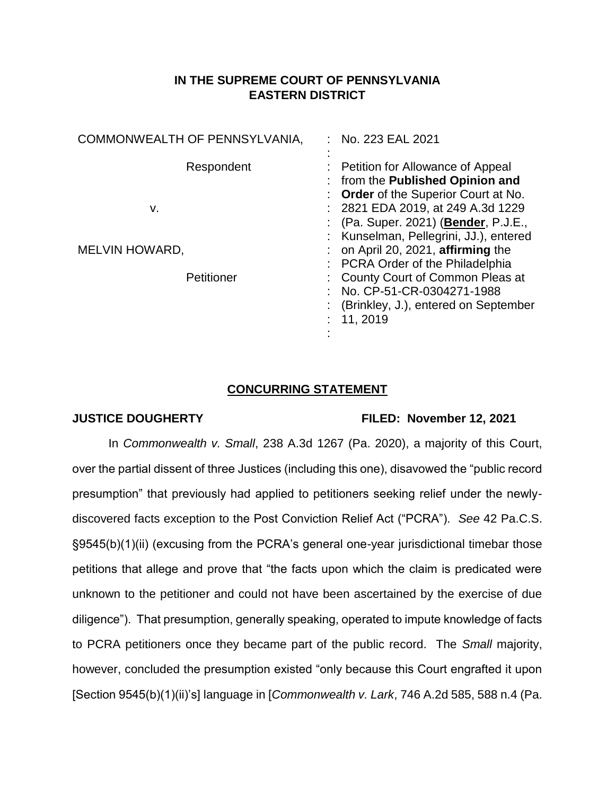## **IN THE SUPREME COURT OF PENNSYLVANIA EASTERN DISTRICT**

| COMMONWEALTH OF PENNSYLVANIA, | $:$ No. 223 EAL 2021                                                                                                         |
|-------------------------------|------------------------------------------------------------------------------------------------------------------------------|
| Respondent                    | : Petition for Allowance of Appeal<br>: from the Published Opinion and<br>: Order of the Superior Court at No.               |
| v.                            | : 2821 EDA 2019, at 249 A.3d 1229<br>: (Pa. Super. 2021) ( <b>Bender</b> , P.J.E.,<br>: Kunselman, Pellegrini, JJ.), entered |
| MELVIN HOWARD,                | on April 20, 2021, affirming the<br>: PCRA Order of the Philadelphia                                                         |
| Petitioner                    | : County Court of Common Pleas at<br>: No. CP-51-CR-0304271-1988<br>: (Brinkley, J.), entered on September<br>: 11, 2019     |

## **CONCURRING STATEMENT**

## **JUSTICE DOUGHERTY FILED: November 12, 2021**

In *Commonwealth v. Small*, 238 A.3d 1267 (Pa. 2020), a majority of this Court, over the partial dissent of three Justices (including this one), disavowed the "public record presumption" that previously had applied to petitioners seeking relief under the newlydiscovered facts exception to the Post Conviction Relief Act ("PCRA"). *See* 42 Pa.C.S. §9545(b)(1)(ii) (excusing from the PCRA's general one-year jurisdictional timebar those petitions that allege and prove that "the facts upon which the claim is predicated were unknown to the petitioner and could not have been ascertained by the exercise of due diligence"). That presumption, generally speaking, operated to impute knowledge of facts to PCRA petitioners once they became part of the public record. The *Small* majority, however, concluded the presumption existed "only because this Court engrafted it upon [Section 9545(b)(1)(ii)'s] language in [*Commonwealth v. Lark*, 746 A.2d 585, 588 n.4 (Pa.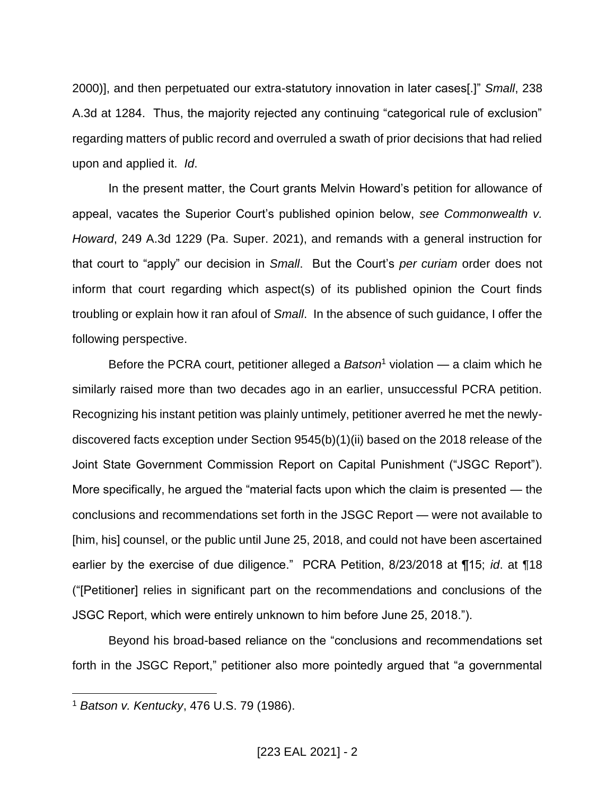2000)], and then perpetuated our extra-statutory innovation in later cases[.]" *Small*, 238 A.3d at 1284. Thus, the majority rejected any continuing "categorical rule of exclusion" regarding matters of public record and overruled a swath of prior decisions that had relied upon and applied it. *Id*.

In the present matter, the Court grants Melvin Howard's petition for allowance of appeal, vacates the Superior Court's published opinion below, *see Commonwealth v. Howard*, 249 A.3d 1229 (Pa. Super. 2021), and remands with a general instruction for that court to "apply" our decision in *Small*. But the Court's *per curiam* order does not inform that court regarding which aspect(s) of its published opinion the Court finds troubling or explain how it ran afoul of *Small*. In the absence of such guidance, I offer the following perspective.

Before the PCRA court, petitioner alleged a *Batson*<sup>1</sup> violation — a claim which he similarly raised more than two decades ago in an earlier, unsuccessful PCRA petition. Recognizing his instant petition was plainly untimely, petitioner averred he met the newlydiscovered facts exception under Section 9545(b)(1)(ii) based on the 2018 release of the Joint State Government Commission Report on Capital Punishment ("JSGC Report"). More specifically, he argued the "material facts upon which the claim is presented — the conclusions and recommendations set forth in the JSGC Report — were not available to [him, his] counsel, or the public until June 25, 2018, and could not have been ascertained earlier by the exercise of due diligence." PCRA Petition, 8/23/2018 at ¶15; *id*. at ¶18 ("[Petitioner] relies in significant part on the recommendations and conclusions of the JSGC Report, which were entirely unknown to him before June 25, 2018.").

Beyond his broad-based reliance on the "conclusions and recommendations set forth in the JSGC Report," petitioner also more pointedly argued that "a governmental

 $\overline{a}$ 

<sup>1</sup> *Batson v. Kentucky*, 476 U.S. 79 (1986).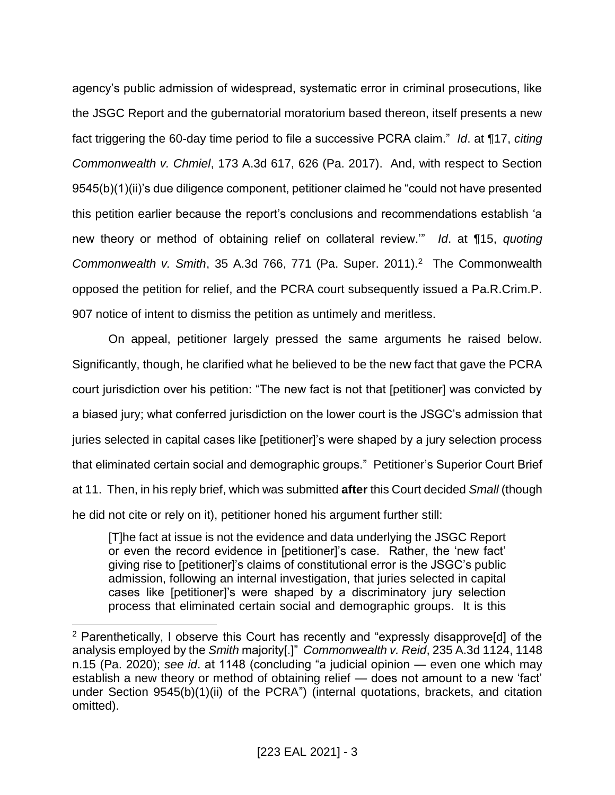agency's public admission of widespread, systematic error in criminal prosecutions, like the JSGC Report and the gubernatorial moratorium based thereon, itself presents a new fact triggering the 60-day time period to file a successive PCRA claim." *Id*. at ¶17, *citing Commonwealth v. Chmiel*, 173 A.3d 617, 626 (Pa. 2017). And, with respect to Section 9545(b)(1)(ii)'s due diligence component, petitioner claimed he "could not have presented this petition earlier because the report's conclusions and recommendations establish 'a new theory or method of obtaining relief on collateral review.'" *Id*. at ¶15, *quoting Commonwealth v. Smith*, 35 A.3d 766, 771 (Pa. Super. 2011).<sup>2</sup> The Commonwealth opposed the petition for relief, and the PCRA court subsequently issued a Pa.R.Crim.P. 907 notice of intent to dismiss the petition as untimely and meritless.

On appeal, petitioner largely pressed the same arguments he raised below. Significantly, though, he clarified what he believed to be the new fact that gave the PCRA court jurisdiction over his petition: "The new fact is not that [petitioner] was convicted by a biased jury; what conferred jurisdiction on the lower court is the JSGC's admission that juries selected in capital cases like [petitioner]'s were shaped by a jury selection process that eliminated certain social and demographic groups." Petitioner's Superior Court Brief at 11. Then, in his reply brief, which was submitted **after** this Court decided *Small* (though he did not cite or rely on it), petitioner honed his argument further still:

[T]he fact at issue is not the evidence and data underlying the JSGC Report or even the record evidence in [petitioner]'s case. Rather, the 'new fact' giving rise to [petitioner]'s claims of constitutional error is the JSGC's public admission, following an internal investigation, that juries selected in capital cases like [petitioner]'s were shaped by a discriminatory jury selection process that eliminated certain social and demographic groups. It is this

 $\overline{a}$ 

<sup>2</sup> Parenthetically, I observe this Court has recently and "expressly disapprove[d] of the analysis employed by the *Smith* majority[.]" *Commonwealth v. Reid*, 235 A.3d 1124, 1148 n.15 (Pa. 2020); *see id*. at 1148 (concluding "a judicial opinion — even one which may establish a new theory or method of obtaining relief — does not amount to a new 'fact' under Section 9545(b)(1)(ii) of the PCRA") (internal quotations, brackets, and citation omitted).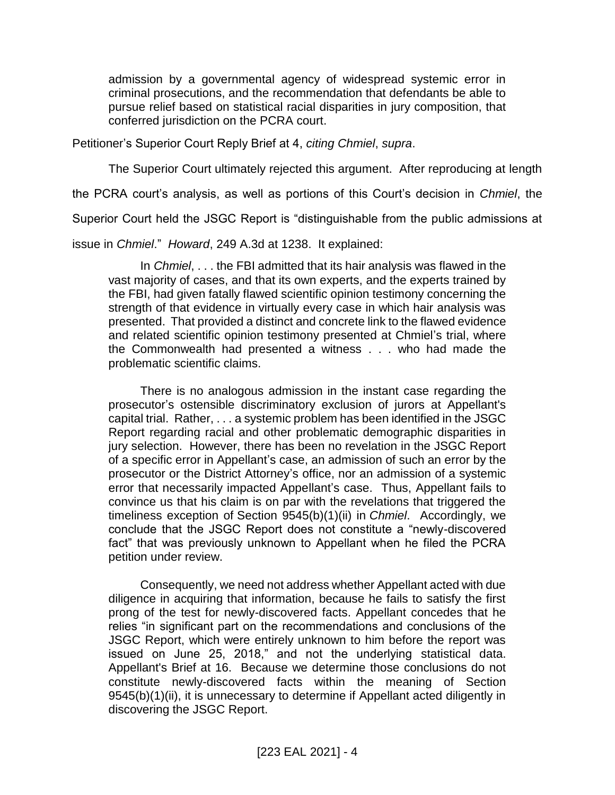admission by a governmental agency of widespread systemic error in criminal prosecutions, and the recommendation that defendants be able to pursue relief based on statistical racial disparities in jury composition, that conferred jurisdiction on the PCRA court.

Petitioner's Superior Court Reply Brief at 4, *citing Chmiel*, *supra*.

The Superior Court ultimately rejected this argument. After reproducing at length

the PCRA court's analysis, as well as portions of this Court's decision in *Chmiel*, the

Superior Court held the JSGC Report is "distinguishable from the public admissions at

issue in *Chmiel*." *Howard*, 249 A.3d at 1238. It explained:

In *Chmiel*, . . . the FBI admitted that its hair analysis was flawed in the vast majority of cases, and that its own experts, and the experts trained by the FBI, had given fatally flawed scientific opinion testimony concerning the strength of that evidence in virtually every case in which hair analysis was presented. That provided a distinct and concrete link to the flawed evidence and related scientific opinion testimony presented at Chmiel's trial, where the Commonwealth had presented a witness . . . who had made the problematic scientific claims.

There is no analogous admission in the instant case regarding the prosecutor's ostensible discriminatory exclusion of jurors at Appellant's capital trial. Rather, . . . a systemic problem has been identified in the JSGC Report regarding racial and other problematic demographic disparities in jury selection. However, there has been no revelation in the JSGC Report of a specific error in Appellant's case, an admission of such an error by the prosecutor or the District Attorney's office, nor an admission of a systemic error that necessarily impacted Appellant's case. Thus, Appellant fails to convince us that his claim is on par with the revelations that triggered the timeliness exception of Section 9545(b)(1)(ii) in *Chmiel*. Accordingly, we conclude that the JSGC Report does not constitute a "newly-discovered fact" that was previously unknown to Appellant when he filed the PCRA petition under review.

Consequently, we need not address whether Appellant acted with due diligence in acquiring that information, because he fails to satisfy the first prong of the test for newly-discovered facts. Appellant concedes that he relies "in significant part on the recommendations and conclusions of the JSGC Report, which were entirely unknown to him before the report was issued on June 25, 2018," and not the underlying statistical data. Appellant's Brief at 16. Because we determine those conclusions do not constitute newly-discovered facts within the meaning of Section 9545(b)(1)(ii), it is unnecessary to determine if Appellant acted diligently in discovering the JSGC Report.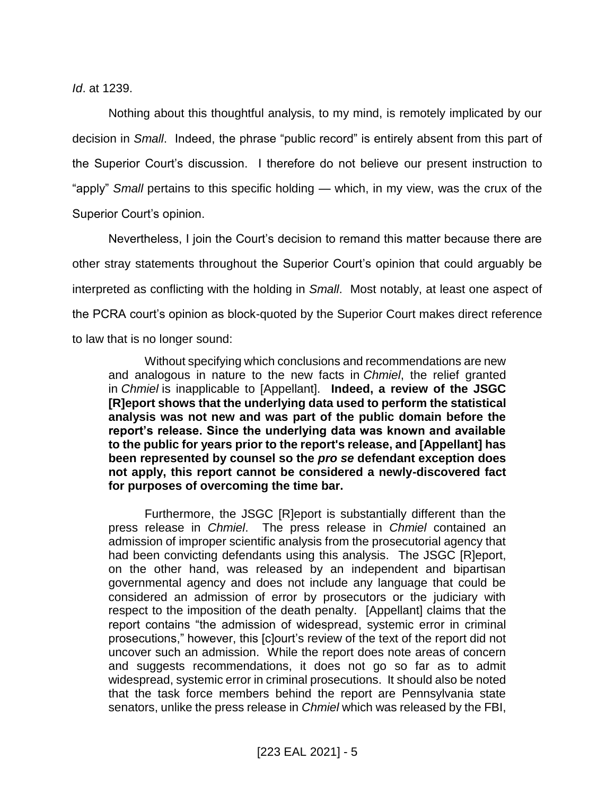*Id*. at 1239.

Nothing about this thoughtful analysis, to my mind, is remotely implicated by our decision in *Small*. Indeed, the phrase "public record" is entirely absent from this part of the Superior Court's discussion. I therefore do not believe our present instruction to "apply" *Small* pertains to this specific holding — which, in my view, was the crux of the Superior Court's opinion.

Nevertheless, I join the Court's decision to remand this matter because there are other stray statements throughout the Superior Court's opinion that could arguably be interpreted as conflicting with the holding in *Small*. Most notably, at least one aspect of the PCRA court's opinion as block-quoted by the Superior Court makes direct reference to law that is no longer sound:

Without specifying which conclusions and recommendations are new and analogous in nature to the new facts in *Chmiel*, the relief granted in *Chmiel* is inapplicable to [Appellant]. **Indeed, a review of the JSGC [R]eport shows that the underlying data used to perform the statistical analysis was not new and was part of the public domain before the report's release. Since the underlying data was known and available to the public for years prior to the report's release, and [Appellant] has been represented by counsel so the** *pro se* **defendant exception does not apply, this report cannot be considered a newly-discovered fact for purposes of overcoming the time bar.**

Furthermore, the JSGC [R]eport is substantially different than the press release in *Chmiel*. The press release in *Chmiel* contained an admission of improper scientific analysis from the prosecutorial agency that had been convicting defendants using this analysis. The JSGC [R]eport, on the other hand, was released by an independent and bipartisan governmental agency and does not include any language that could be considered an admission of error by prosecutors or the judiciary with respect to the imposition of the death penalty. [Appellant] claims that the report contains "the admission of widespread, systemic error in criminal prosecutions," however, this [c]ourt's review of the text of the report did not uncover such an admission. While the report does note areas of concern and suggests recommendations, it does not go so far as to admit widespread, systemic error in criminal prosecutions. It should also be noted that the task force members behind the report are Pennsylvania state senators, unlike the press release in *Chmiel* which was released by the FBI,